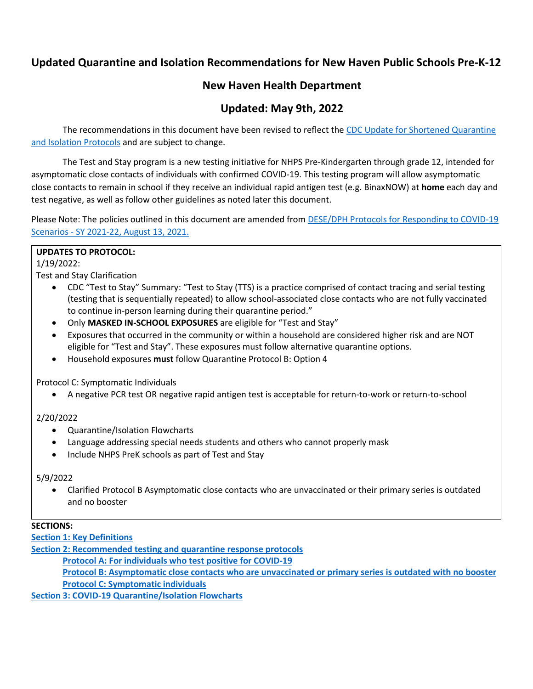# **Updated Quarantine and Isolation Recommendations for New Haven Public Schools Pre-K-12**

# **New Haven Health Department**

# **Updated: May 9th, 2022**

The recommendations in this document have been revised to reflect the CDC Update for Shortened Quarantine and Isolation Protocols and are subject to change.

The Test and Stay program is a new testing initiative for NHPS Pre-Kindergarten through grade 12, intended for asymptomatic close contacts of individuals with confirmed COVID-19. This testing program will allow asymptomatic close contacts to remain in school if they receive an individual rapid antigen test (e.g. BinaxNOW) at **home** each day and test negative, as well as follow other guidelines as noted later this document.

Please Note: The policies outlined in this document are amended from **DESE/DPH Protocols for Responding to COVID-19** Scenarios - SY 2021-22, August 13, 2021.

#### **UPDATES TO PROTOCOL:**

1/19/2022:

Test and Stay Clarification

- CDC "Test to Stay" Summary: "Test to Stay (TTS) is a practice comprised of contact tracing and serial testing (testing that is sequentially repeated) to allow school-associated close contacts who are not fully vaccinated to continue in-person learning during their quarantine period."
- Only **MASKED IN-SCHOOL EXPOSURES** are eligible for "Test and Stay"
- Exposures that occurred in the community or within a household are considered higher risk and are NOT eligible for "Test and Stay". These exposures must follow alternative quarantine options.
- Household exposures **must** follow Quarantine Protocol B: Option 4

Protocol C: Symptomatic Individuals

• A negative PCR test OR negative rapid antigen test is acceptable for return-to-work or return-to-school

## 2/20/2022

- Quarantine/Isolation Flowcharts
- Language addressing special needs students and others who cannot properly mask
- Include NHPS PreK schools as part of Test and Stay

#### 5/9/2022

• Clarified Protocol B Asymptomatic close contacts who are unvaccinated or their primary series is outdated and no booster

## **SECTIONS:**

**[Section 1: Key Definitions](#page-1-0)**

**[Section 2: Recommended testing and quarantine response protocols](#page-2-0)**

**[Protocol A: For individuals who test positive for COVID-19](#page-2-1)**

**[Protocol B: Asymptomatic close contacts who are unvaccinated or primary series is outdated with no booster](#page-3-0) [Protocol C: Symptomatic individuals](#page-5-0)**

**[Section 3: COVID-19 Quarantine/Isolation Flowcharts](#page-6-0)**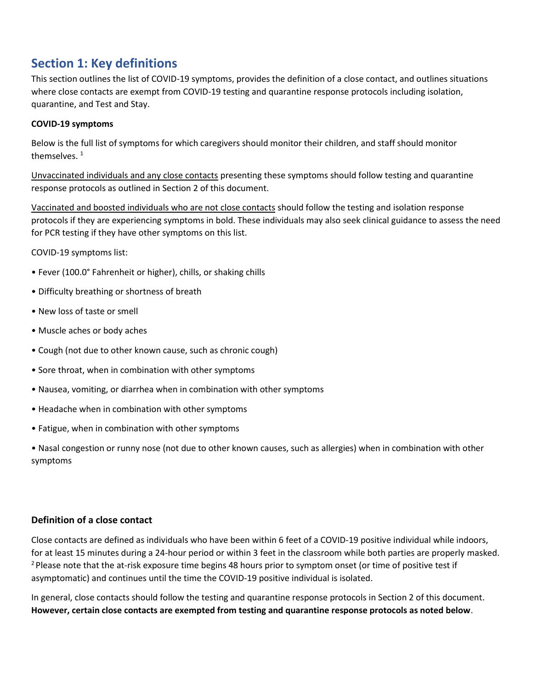# <span id="page-1-0"></span>**Section 1: Key definitions**

This section outlines the list of COVID-19 symptoms, provides the definition of a close contact, and outlines situations where close contacts are exempt from COVID-19 testing and quarantine response protocols including isolation, quarantine, and Test and Stay.

#### **COVID-19 symptoms**

Below is the full list of symptoms for which caregivers should monitor their children, and staff should monitor themselves. 1

Unvaccinated individuals and any close contacts presenting these symptoms should follow testing and quarantine response protocols as outlined in Section 2 of this document.

Vaccinated and boosted individuals who are not close contacts should follow the testing and isolation response protocols if they are experiencing symptoms in bold. These individuals may also seek clinical guidance to assess the need for PCR testing if they have other symptoms on this list.

COVID-19 symptoms list:

- Fever (100.0° Fahrenheit or higher), chills, or shaking chills
- Difficulty breathing or shortness of breath
- New loss of taste or smell
- Muscle aches or body aches
- Cough (not due to other known cause, such as chronic cough)
- Sore throat, when in combination with other symptoms
- Nausea, vomiting, or diarrhea when in combination with other symptoms
- Headache when in combination with other symptoms
- Fatigue, when in combination with other symptoms

• Nasal congestion or runny nose (not due to other known causes, such as allergies) when in combination with other symptoms

#### **Definition of a close contact**

Close contacts are defined as individuals who have been within 6 feet of a COVID-19 positive individual while indoors, for at least 15 minutes during a 24-hour period or within 3 feet in the classroom while both parties are properly masked. <sup>2</sup> Please note that the at-risk exposure time begins 48 hours prior to symptom onset (or time of positive test if asymptomatic) and continues until the time the COVID-19 positive individual is isolated.

In general, close contacts should follow the testing and quarantine response protocols in Section 2 of this document. **However, certain close contacts are exempted from testing and quarantine response protocols as noted below**.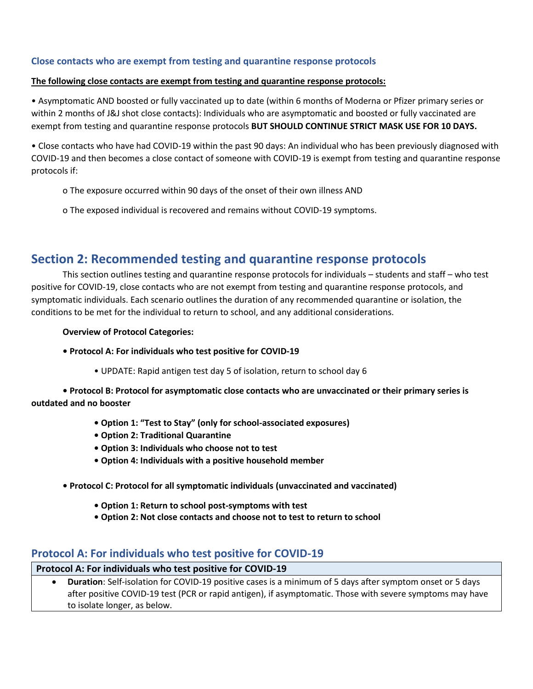### **Close contacts who are exempt from testing and quarantine response protocols**

#### **The following close contacts are exempt from testing and quarantine response protocols:**

• Asymptomatic AND boosted or fully vaccinated up to date (within 6 months of Moderna or Pfizer primary series or within 2 months of J&J shot close contacts): Individuals who are asymptomatic and boosted or fully vaccinated are exempt from testing and quarantine response protocols **BUT SHOULD CONTINUE STRICT MASK USE FOR 10 DAYS.**

• Close contacts who have had COVID-19 within the past 90 days: An individual who has been previously diagnosed with COVID-19 and then becomes a close contact of someone with COVID-19 is exempt from testing and quarantine response protocols if:

- o The exposure occurred within 90 days of the onset of their own illness AND
- o The exposed individual is recovered and remains without COVID-19 symptoms.

# <span id="page-2-0"></span>**Section 2: Recommended testing and quarantine response protocols**

This section outlines testing and quarantine response protocols for individuals – students and staff – who test positive for COVID-19, close contacts who are not exempt from testing and quarantine response protocols, and symptomatic individuals. Each scenario outlines the duration of any recommended quarantine or isolation, the conditions to be met for the individual to return to school, and any additional considerations.

#### **Overview of Protocol Categories:**

- **Protocol A: For individuals who test positive for COVID-19**
	- UPDATE: Rapid antigen test day 5 of isolation, return to school day 6

**• Protocol B: Protocol for asymptomatic close contacts who are unvaccinated or their primary series is outdated and no booster**

- **Option 1: "Test to Stay" (only for school-associated exposures)**
- **Option 2: Traditional Quarantine**
- **Option 3: Individuals who choose not to test**
- **Option 4: Individuals with a positive household member**
- **Protocol C: Protocol for all symptomatic individuals (unvaccinated and vaccinated)**
	- **Option 1: Return to school post-symptoms with test**
	- **Option 2: Not close contacts and choose not to test to return to school**

# <span id="page-2-1"></span>**Protocol A: For individuals who test positive for COVID-19**

#### **Protocol A: For individuals who test positive for COVID-19**

• **Duration**: Self-isolation for COVID-19 positive cases is a minimum of 5 days after symptom onset or 5 days after positive COVID-19 test (PCR or rapid antigen), if asymptomatic. Those with severe symptoms may have to isolate longer, as below.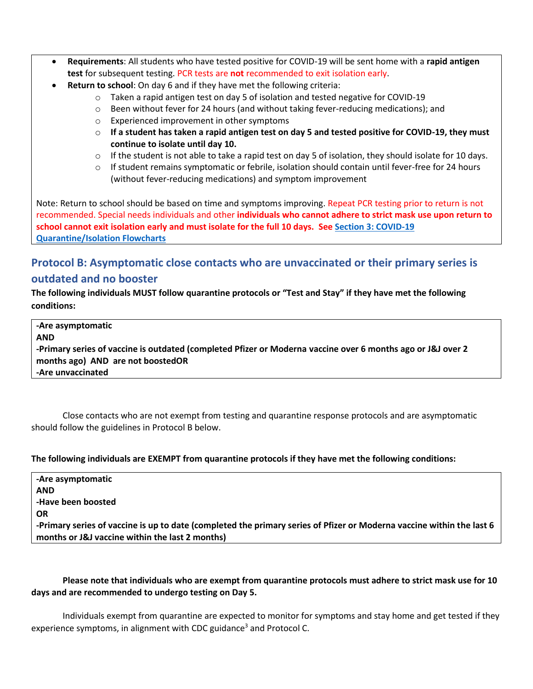- **Requirements**: All students who have tested positive for COVID-19 will be sent home with a **rapid antigen test** for subsequent testing. PCR tests are **not** recommended to exit isolation early.
- **Return to school**: On day 6 and if they have met the following criteria:
	- $\circ$  Taken a rapid antigen test on day 5 of isolation and tested negative for COVID-19
	- o Been without fever for 24 hours (and without taking fever-reducing medications); and
	- o Experienced improvement in other symptoms
	- o **If a student has taken a rapid antigen test on day 5 and tested positive for COVID-19, they must continue to isolate until day 10.**
	- $\circ$  If the student is not able to take a rapid test on day 5 of isolation, they should isolate for 10 days.
	- o If student remains symptomatic or febrile, isolation should contain until fever-free for 24 hours (without fever-reducing medications) and symptom improvement

Note: Return to school should be based on time and symptoms improving. Repeat PCR testing prior to return is not recommended. Special needs individuals and other **individuals who cannot adhere to strict mask use upon return to school cannot exit isolation early and must isolate for the full 10 days. Se[e Section 3: COVID-19](#page-6-0)  [Quarantine/Isolation Flowcharts](#page-6-0)**

# <span id="page-3-0"></span>**Protocol B: Asymptomatic close contacts who are unvaccinated or their primary series is outdated and no booster**

**The following individuals MUST follow quarantine protocols or "Test and Stay" if they have met the following conditions:** 

**-Are asymptomatic AND -Primary series of vaccine is outdated (completed Pfizer or Moderna vaccine over 6 months ago or J&J over 2 months ago) AND are not boostedOR -Are unvaccinated**

Close contacts who are not exempt from testing and quarantine response protocols and are asymptomatic should follow the guidelines in Protocol B below.

**The following individuals are EXEMPT from quarantine protocols if they have met the following conditions:** 

| -Are asymptomatic                                                                                                     |
|-----------------------------------------------------------------------------------------------------------------------|
| <b>AND</b>                                                                                                            |
| -Have been boosted                                                                                                    |
| <b>OR</b>                                                                                                             |
| -Primary series of vaccine is up to date (completed the primary series of Pfizer or Moderna vaccine within the last 6 |
| months or J&J vaccine within the last 2 months)                                                                       |

## **Please note that individuals who are exempt from quarantine protocols must adhere to strict mask use for 10 days and are recommended to undergo testing on Day 5.**

Individuals exempt from quarantine are expected to monitor for symptoms and stay home and get tested if they experience symptoms, in alignment with CDC guidance<sup>3</sup> and Protocol C.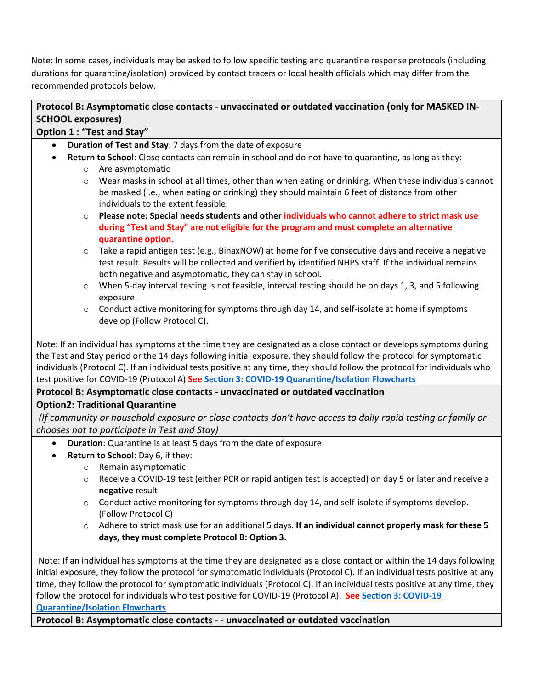Note: In some cases, individuals may be asked to follow specific testing and quarantine response protocols (including durations for quarantine/isolation) provided by contact tracers or local health officials which may differ from the recommended protocols below.

# **Protocol B: Asymptomatic close contacts - unvaccinated or outdated vaccination (only for MASKED IN-SCHOOL exposures)**

# **Option 1 : "Test and Stay"**

- **Duration of Test and Stay**: 7 days from the date of exposure
- **Return to School**: Close contacts can remain in school and do not have to quarantine, as long as they:
	- o Are asymptomatic
	- o Wear masks in school at all times, other than when eating or drinking. When these individuals cannot be masked (i.e., when eating or drinking) they should maintain 6 feet of distance from other individuals to the extent feasible.
	- o **Please note: Special needs students and other individuals who cannot adhere to strict mask use during "Test and Stay" are not eligible for the program and must complete an alternative quarantine option.**
	- $\circ$  Take a rapid antigen test (e.g., BinaxNOW) at home for five consecutive days and receive a negative test result. Results will be collected and verified by identified NHPS staff. If the individual remains both negative and asymptomatic, they can stay in school.
	- $\circ$  When 5-day interval testing is not feasible, interval testing should be on days 1, 3, and 5 following exposure.
	- $\circ$  Conduct active monitoring for symptoms through day 14, and self-isolate at home if symptoms develop (Follow Protocol C).

Note: If an individual has symptoms at the time they are designated as a close contact or develops symptoms during the Test and Stay period or the 14 days following initial exposure, they should follow the protocol for symptomatic individuals (Protocol C). If an individual tests positive at any time, they should follow the protocol for individuals who test positive for COVID-19 (Protocol A) **See [Section 3: COVID-19 Quarantine/Isolation Flowcharts](#page-6-0)**

# **Protocol B: Asymptomatic close contacts - unvaccinated or outdated vaccination**

# **Option2: Traditional Quarantine**

*(If community or household exposure or close contacts don't have access to daily rapid testing or family or chooses not to participate in Test and Stay)*

- **Duration**: Quarantine is at least 5 days from the date of exposure
- **Return to School**: Day 6, if they:
	- o Remain asymptomatic
	- o Receive a COVID-19 test (either PCR or rapid antigen test is accepted) on day 5 or later and receive a **negative** result
	- o Conduct active monitoring for symptoms through day 14, and self-isolate if symptoms develop. (Follow Protocol C)
	- o Adhere to strict mask use for an additional 5 days. **If an individual cannot properly mask for these 5 days, they must complete Protocol B: Option 3.**

Note: If an individual has symptoms at the time they are designated as a close contact or within the 14 days following initial exposure, they follow the protocol for symptomatic individuals (Protocol C). If an individual tests positive at any time, they follow the protocol for symptomatic individuals (Protocol C). If an individual tests positive at any time, they follow the protocol for individuals who test positive for COVID-19 (Protocol A). **See [Section 3: COVID-19](#page-6-0)  [Quarantine/Isolation Flowcharts](#page-6-0)**

**Protocol B: Asymptomatic close contacts - - unvaccinated or outdated vaccination**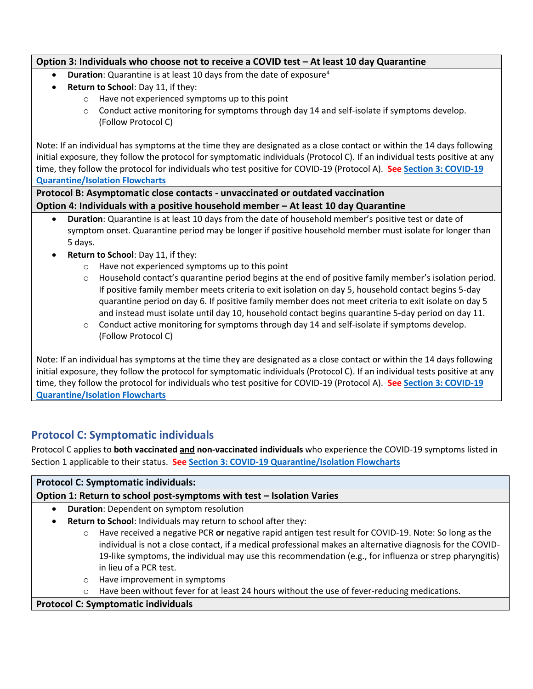## **Option 3: Individuals who choose not to receive a COVID test – At least 10 day Quarantine**

- **Duration**: Quarantine is at least 10 days from the date of exposure<sup>4</sup>
- **Return to School**: Day 11, if they:
	- o Have not experienced symptoms up to this point
	- $\circ$  Conduct active monitoring for symptoms through day 14 and self-isolate if symptoms develop. (Follow Protocol C)

Note: If an individual has symptoms at the time they are designated as a close contact or within the 14 days following initial exposure, they follow the protocol for symptomatic individuals (Protocol C). If an individual tests positive at any time, they follow the protocol for individuals who test positive for COVID-19 (Protocol A). **See Section 3: COVID-19 Quarantine/Isolation Flowcharts**

**Protocol B: Asymptomatic close contacts - unvaccinated or outdated vaccination Option 4: Individuals with a positive household member – At least 10 day Quarantine**

- **Duration**: Quarantine is at least 10 days from the date of household member's positive test or date of symptom onset. Quarantine period may be longer if positive household member must isolate for longer than 5 days.
- **Return to School**: Day 11, if they:
	- o Have not experienced symptoms up to this point
	- $\circ$  Household contact's quarantine period begins at the end of positive family member's isolation period. If positive family member meets criteria to exit isolation on day 5, household contact begins 5-day quarantine period on day 6. If positive family member does not meet criteria to exit isolate on day 5 and instead must isolate until day 10, household contact begins quarantine 5-day period on day 11.
	- $\circ$  Conduct active monitoring for symptoms through day 14 and self-isolate if symptoms develop. (Follow Protocol C)

Note: If an individual has symptoms at the time they are designated as a close contact or within the 14 days following initial exposure, they follow the protocol for symptomatic individuals (Protocol C). If an individual tests positive at any time, they follow the protocol for individuals who test positive for COVID-19 (Protocol A). **See Section 3: COVID-19 Quarantine/Isolation Flowcharts**

# <span id="page-5-0"></span>**Protocol C: Symptomatic individuals**

Protocol C applies to **both vaccinated and non-vaccinated individuals** who experience the COVID-19 symptoms listed in Section 1 applicable to their status. **See Section 3: COVID-19 Quarantine/Isolation Flowcharts**

## **Protocol C: Symptomatic individuals:**

# **Option 1: Return to school post-symptoms with test – Isolation Varies**

- **Duration**: Dependent on symptom resolution
- **Return to School**: Individuals may return to school after they:
	- o Have received a negative PCR **or** negative rapid antigen test result for COVID-19. Note: So long as the individual is not a close contact, if a medical professional makes an alternative diagnosis for the COVID-19-like symptoms, the individual may use this recommendation (e.g., for influenza or strep pharyngitis) in lieu of a PCR test.
	- o Have improvement in symptoms
	- $\circ$  Have been without fever for at least 24 hours without the use of fever-reducing medications.

## **Protocol C: Symptomatic individuals**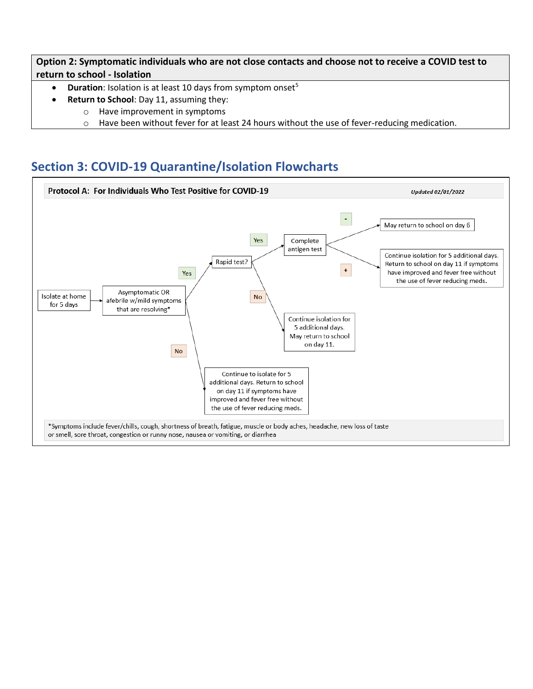**Option 2: Symptomatic individuals who are not close contacts and choose not to receive a COVID test to return to school - Isolation**

- **Duration**: Isolation is at least 10 days from symptom onset<sup>5</sup>
- **Return to School**: Day 11, assuming they:
	- o Have improvement in symptoms
		- $\circ$  Have been without fever for at least 24 hours without the use of fever-reducing medication.

# <span id="page-6-0"></span>**Section 3: COVID-19 Quarantine/Isolation Flowcharts**